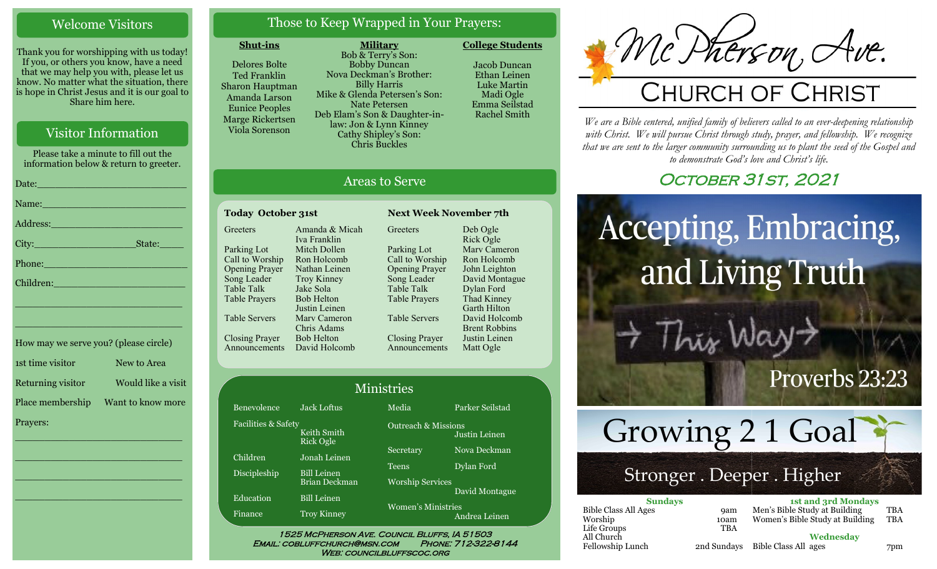# Welcome Visitors

Thank you for worshipping with us today! If you, or others you know, have a need that we may help you with, please let us know. No matter what the situation, there is hope in Christ Jesus and it is our goal to Share him here.

# Visitor Information

Please take a minute to fill out the information below & return to greeter. Date:\_\_\_\_\_\_\_\_\_\_\_\_\_\_\_\_\_\_\_\_\_\_\_\_\_ Name: Address:\_\_\_\_\_\_\_\_\_\_\_\_\_\_\_\_\_\_\_\_\_\_ City: State: Phone:\_\_\_\_\_\_\_\_\_\_\_\_\_\_\_\_\_\_\_\_\_\_\_\_ Children: \_\_\_\_\_\_\_\_\_\_\_\_\_\_\_\_\_\_\_\_\_\_\_\_\_\_\_\_ \_\_\_\_\_\_\_\_\_\_\_\_\_\_\_\_\_\_\_\_\_\_\_\_\_\_\_\_

How may we serve you? (please circle) 1st time visitor New to Area Returning visitor Would like a visit Place membership Want to know more Prayers:

\_\_\_\_\_\_\_\_\_\_\_\_\_\_\_\_\_\_\_\_\_\_\_\_\_\_\_\_

 $\overline{\phantom{a}}$  , and the set of the set of the set of the set of the set of the set of the set of the set of the set of the set of the set of the set of the set of the set of the set of the set of the set of the set of the s

 $\overline{\phantom{a}}$  , and the set of the set of the set of the set of the set of the set of the set of the set of the set of the set of the set of the set of the set of the set of the set of the set of the set of the set of the s

\_\_\_\_\_\_\_\_\_\_\_\_\_\_\_\_\_\_\_\_\_\_\_\_\_\_\_\_

# Those to Keep Wrapped in Your Prayers:

#### **Shut-ins**

Delores Bolte Ted Franklin Sharon Hauptman Amanda Larson Eunice Peoples Marge Rickertsen Viola Sorenson

**Military** Bob & Terry's Son: Bobby Duncan Nova Deckman's Brother: Billy Harris Mike & Glenda Petersen's Son: Nate Petersen Deb Elam's Son & Daughter-inlaw: Jon & Lynn Kinney Cathy Shipley's Son: Chris Buckles

Jacob Duncan Ethan Leinen Luke Martin Madi Ogle Emma Seilstad

Rachel Smith

**College Students** 

# Areas to Serve

| <b>Today October 31st</b> |                    |  |  |
|---------------------------|--------------------|--|--|
| Greeters                  | Amanda & Micah     |  |  |
|                           | Iva Franklin       |  |  |
| Parking Lot               | Mitch Dollen       |  |  |
| Call to Worship           | Ron Holcomb        |  |  |
| <b>Opening Prayer</b>     | Nathan Leinen      |  |  |
| Song Leader               | <b>Troy Kinney</b> |  |  |
| <b>Table Talk</b>         | Jake Sola          |  |  |
| Table Prayers             | <b>Bob Helton</b>  |  |  |
|                           | Justin Leinen      |  |  |
| Table Servers             | Mary Cameron       |  |  |
|                           | Chris Adams        |  |  |
| <b>Closing Prayer</b>     | <b>Bob Helton</b>  |  |  |
| nouncements               | David Holcomb      |  |  |
|                           |                    |  |  |

**Greeters** Parking Lot Call to Worship Opening Prayer Song Leader Table Talk Table Prayers Table Servers Closing Prayer Announcements Deb Ogle Rick Ogle Marv Cameron Ron Holcomb John Leighton David Montague Dylan Ford Thad Kinney Garth Hilton David Holcomb Brent Robbins Justin Leinen Matt Ogle

**Next Week November 7th** 

| Ministries          |                          |                                            |                 |
|---------------------|--------------------------|--------------------------------------------|-----------------|
| Benevolence         | <b>Jack Loftus</b>       | Media                                      | Parker Seilstad |
| Facilities & Safety | Keith Smith<br>Rick Ogle | <b>Outreach &amp; Missions</b>             | Justin Leinen   |
| Children            | Jonah Leinen             | Secretary                                  | Nova Deckman    |
| Discipleship        | <b>Bill Leinen</b>       | Teens                                      | Dylan Ford      |
|                     | Brian Deckman            | <b>Worship Services</b>                    |                 |
| Education           | <b>Bill Leinen</b>       |                                            | David Montague  |
| Finance             | <b>Troy Kinney</b>       | <b>Women's Ministries</b><br>Andrea Leinen |                 |

WEB: COUNCILBLUFFSCOC.ORG

# Mc Pherson, An

# CHURCH OF CHRIST

*We are a Bible centered, unified family of believers called to an ever-deepening relationship*  with Christ. We will pursue Christ through study, prayer, and fellowship. We recognize *that we are sent to the larger community surrounding us to plant the seed of the Gospel and to demonstrate God's love and Christ's life.*

# OCTOBER 31ST, 2021

# Accepting, Embracing, and Living Truth

# Proverbs 23:23



This Wa

# Stronger . Deeper . Higher

| <b>Sundays</b>              |             | <b>1st and 3rd Mondays</b>      |            |
|-----------------------------|-------------|---------------------------------|------------|
| <b>Bible Class All Ages</b> | <b>9am</b>  | Men's Bible Study at Building   | <b>TBA</b> |
| Worship                     | 10am        | Women's Bible Study at Building | <b>TBA</b> |
| Life Groups                 | TBA         |                                 |            |
| All Church                  |             | Wednesdav                       |            |
| Fellowship Lunch            | 2nd Sundays | Bible Class All ages            | 7pm        |